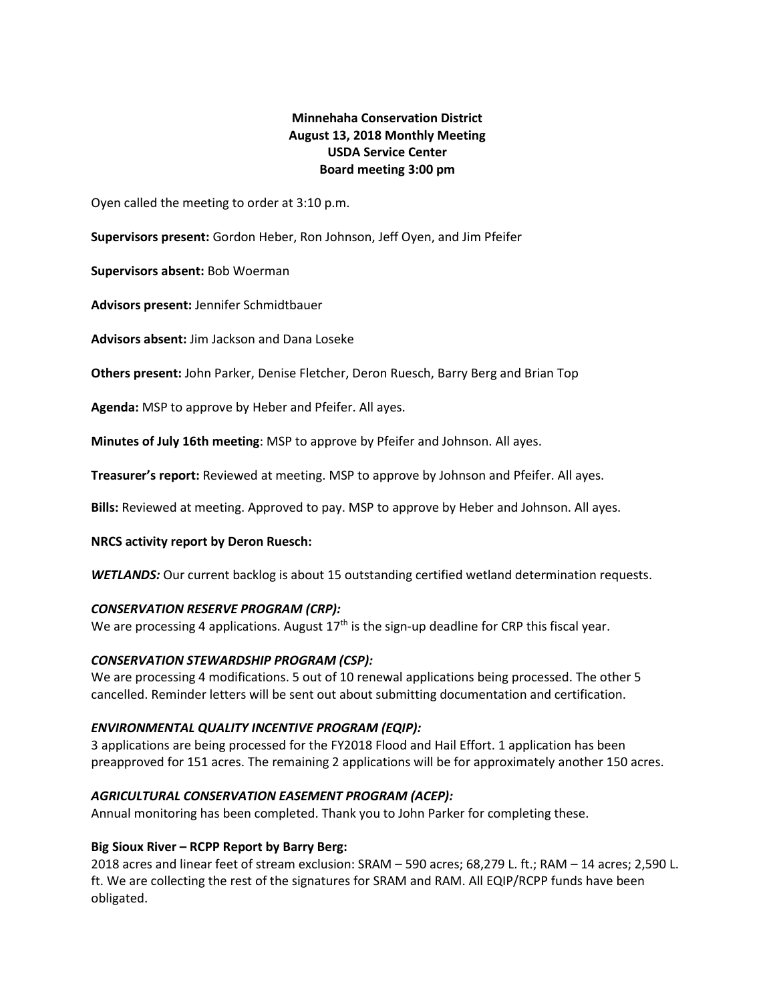# **Minnehaha Conservation District August 13, 2018 Monthly Meeting USDA Service Center Board meeting 3:00 pm**

Oyen called the meeting to order at 3:10 p.m.

**Supervisors present:** Gordon Heber, Ron Johnson, Jeff Oyen, and Jim Pfeifer

**Supervisors absent:** Bob Woerman

**Advisors present:** Jennifer Schmidtbauer

**Advisors absent:** Jim Jackson and Dana Loseke

**Others present:** John Parker, Denise Fletcher, Deron Ruesch, Barry Berg and Brian Top

**Agenda:** MSP to approve by Heber and Pfeifer. All ayes.

**Minutes of July 16th meeting**: MSP to approve by Pfeifer and Johnson. All ayes.

**Treasurer's report:** Reviewed at meeting. MSP to approve by Johnson and Pfeifer. All ayes.

**Bills:** Reviewed at meeting. Approved to pay. MSP to approve by Heber and Johnson. All ayes.

#### **NRCS activity report by Deron Ruesch:**

**WETLANDS:** Our current backlog is about 15 outstanding certified wetland determination requests.

#### *CONSERVATION RESERVE PROGRAM (CRP):*

We are processing 4 applications. August  $17<sup>th</sup>$  is the sign-up deadline for CRP this fiscal year.

# *CONSERVATION STEWARDSHIP PROGRAM (CSP):*

We are processing 4 modifications. 5 out of 10 renewal applications being processed. The other 5 cancelled. Reminder letters will be sent out about submitting documentation and certification.

# *ENVIRONMENTAL QUALITY INCENTIVE PROGRAM (EQIP):*

3 applications are being processed for the FY2018 Flood and Hail Effort. 1 application has been preapproved for 151 acres. The remaining 2 applications will be for approximately another 150 acres.

# *AGRICULTURAL CONSERVATION EASEMENT PROGRAM (ACEP):*

Annual monitoring has been completed. Thank you to John Parker for completing these.

# **Big Sioux River – RCPP Report by Barry Berg:**

2018 acres and linear feet of stream exclusion: SRAM – 590 acres; 68,279 L. ft.; RAM – 14 acres; 2,590 L. ft. We are collecting the rest of the signatures for SRAM and RAM. All EQIP/RCPP funds have been obligated.